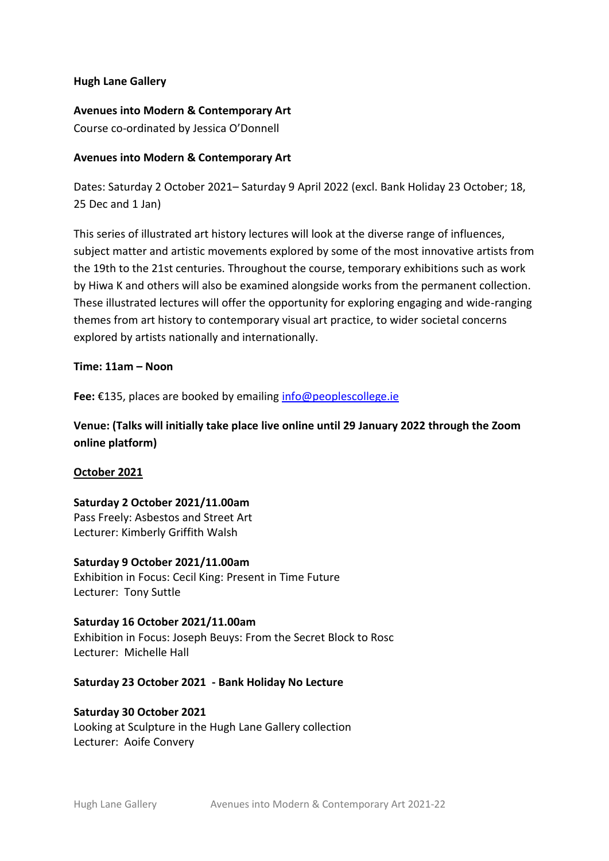# **Hugh Lane Gallery**

# **Avenues into Modern & Contemporary Art**

Course co-ordinated by Jessica O'Donnell

# **Avenues into Modern & Contemporary Art**

Dates: Saturday 2 October 2021– Saturday 9 April 2022 (excl. Bank Holiday 23 October; 18, 25 Dec and 1 Jan)

This series of illustrated art history lectures will look at the diverse range of influences, subject matter and artistic movements explored by some of the most innovative artists from the 19th to the 21st centuries. Throughout the course, temporary exhibitions such as work by Hiwa K and others will also be examined alongside works from the permanent collection. These illustrated lectures will offer the opportunity for exploring engaging and wide-ranging themes from art history to contemporary visual art practice, to wider societal concerns explored by artists nationally and internationally.

## **Time: 11am – Noon**

**Fee:** €135, places are booked by emailing [info@peoplescollege.ie](mailto:info@peoplescollege.ie)

**Venue: (Talks will initially take place live online until 29 January 2022 through the Zoom online platform)**

# **October 2021**

**Saturday 2 October 2021/11.00am** Pass Freely: Asbestos and Street Art Lecturer: Kimberly Griffith Walsh

**Saturday 9 October 2021/11.00am**  Exhibition in Focus: Cecil King: Present in Time Future Lecturer: Tony Suttle

**Saturday 16 October 2021/11.00am** Exhibition in Focus: Joseph Beuys: From the Secret Block to Rosc Lecturer: Michelle Hall

## **Saturday 23 October 2021 - Bank Holiday No Lecture**

# **Saturday 30 October 2021** Looking at Sculpture in the Hugh Lane Gallery collection Lecturer: Aoife Convery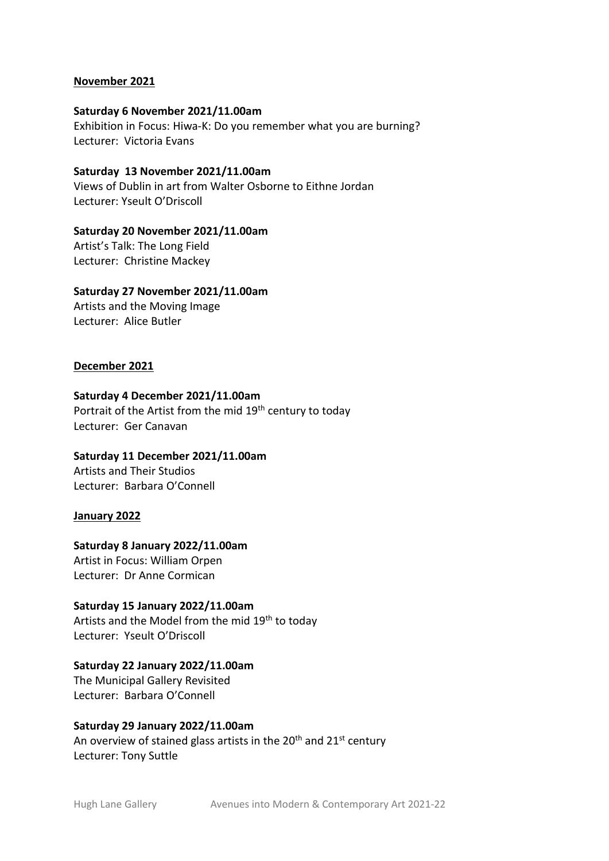## **November 2021**

#### **Saturday 6 November 2021/11.00am**

Exhibition in Focus: Hiwa-K: Do you remember what you are burning? Lecturer: Victoria Evans

**Saturday 13 November 2021/11.00am** Views of Dublin in art from Walter Osborne to Eithne Jordan Lecturer: Yseult O'Driscoll

#### **Saturday 20 November 2021/11.00am**

Artist's Talk: The Long Field Lecturer: Christine Mackey

#### **Saturday 27 November 2021/11.00am**

Artists and the Moving Image Lecturer: Alice Butler

## **December 2021**

#### **Saturday 4 December 2021/11.00am**

Portrait of the Artist from the mid 19<sup>th</sup> century to today Lecturer: Ger Canavan

**Saturday 11 December 2021/11.00am** Artists and Their Studios Lecturer: Barbara O'Connell

#### **January 2022**

#### **Saturday 8 January 2022/11.00am**

Artist in Focus: William Orpen Lecturer: Dr Anne Cormican

#### **Saturday 15 January 2022/11.00am**

Artists and the Model from the mid 19<sup>th</sup> to today Lecturer: Yseult O'Driscoll

#### **Saturday 22 January 2022/11.00am**

The Municipal Gallery Revisited Lecturer: Barbara O'Connell

## **Saturday 29 January 2022/11.00am**

An overview of stained glass artists in the  $20<sup>th</sup>$  and  $21<sup>st</sup>$  century Lecturer: Tony Suttle